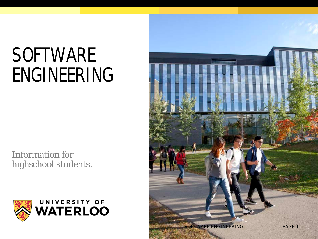# **SOFTWARE** ENGINEERING

Information for highschool students.



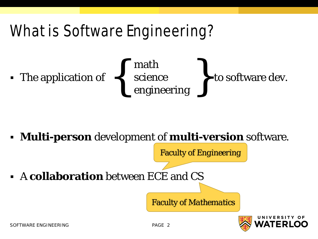#### What is Software Engineering? The application of  $\leq$  science  $\geq$  to software dev.  $\left\{ \begin{array}{c} \text{math} \\ \text{science} \\ \text{engineering} \end{array} \right\}$ science engineering

**Multi-person** development of **multi-version** software.

Faculty of *Engineering*

A **collaboration** between ECE and CS

Faculty of *Mathematics*

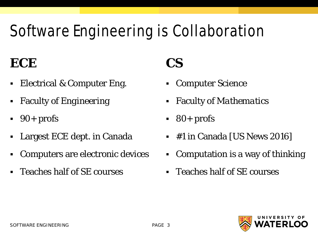## Software Engineering is Collaboration

#### **ECE**

- Electrical & Computer Eng.
- Faculty of *Engineering*
- $\bullet$  90+ profs
- Largest ECE dept. in Canada
- Computers are electronic devices
- Teaches half of SE courses

#### **CS**

- Computer Science
- Faculty of *Mathematics*
- $\bullet$  80+ profs
- #1 in Canada [US News 2016]
- Computation is a way of thinking
- Teaches half of SE courses

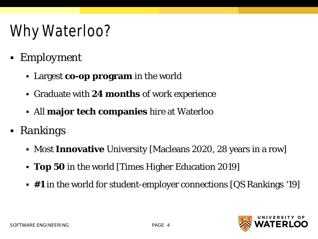## Why Waterloo?

- *Employment*
	- Largest **co-op program** in the world
	- Graduate with **24 months** of work experience
	- All **major tech companies** hire at Waterloo
- *Rankings*
	- Most **Innovative** University [Macleans 2020, 28 years in a row]
	- **Top 50** in the world [Times Higher Education 2019]
	- **#1** in the world for student-employer connections [QS Rankings '19]

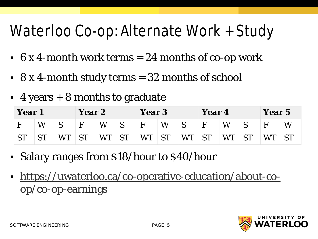## Waterloo Co-op: Alternate Work + Study

- $\bullet$  6 x 4-month work terms = 24 months of co-op work
- $\bullet$  8 x 4-month study terms = 32 months of school
- $\blacksquare$  4 years + 8 months to graduate

| Year 1       |   |           | Year 2                  |       |  | Year 3       |   |       | Year 4 |      |           | Year 5    |           |
|--------------|---|-----------|-------------------------|-------|--|--------------|---|-------|--------|------|-----------|-----------|-----------|
| F            | W |           | $\mathbf{F}$            | W     |  | $\mathbf{F}$ | W |       | F      | W    |           |           | W         |
| $\mathbf{C}$ |   | <b>WT</b> | $\overline{\mathbf{S}}$ | WT ST |  | WT ST        |   | WT ST |        | WT . | <b>ST</b> | <b>WT</b> | <b>ST</b> |

- Salary ranges from \$18/hour to \$40/hour
- [https://uwaterloo.ca/co-operative-education/about-co](https://uwaterloo.ca/co-operative-education/about-co-op/co-op-earnings)op/co-op-earnings

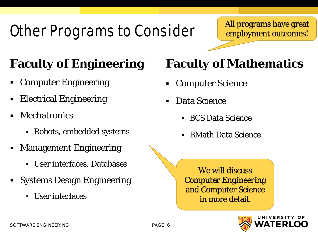## Other Programs to Consider

All programs have great employment outcomes!

#### **Faculty of Engineering**

- Computer Engineering
- **Electrical Engineering**
- **Mechatronics** 
	- Robots, embedded systems
- Management Engineering
	- User interfaces, Databases
- Systems Design Engineering
	- User interfaces

#### **Faculty of Mathematics**

- Computer Science
- **Data Science** 
	- BCS Data Science
	- BMath Data Science

We will discuss *Computer Engineering*  and *Computer Science*  in more detail.

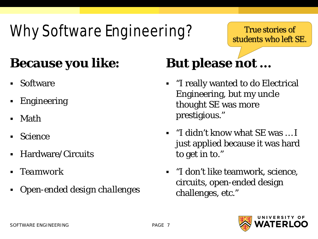# Why Software Engineering? True stories of True stories of SE.

#### **Because you** *like:*

- Software
- Engineering
- Math
- Science
- Hardware/Circuits
- *Teamwork*
- *Open-ended design challenges*

#### **But please not …**

- "I really wanted to do Electrical Engineering, but my uncle thought SE was more prestigious."
- "I didn't know what SE was … I just applied because it was hard to get in to."
- "I don't like teamwork, science, circuits, open-ended design challenges, etc."

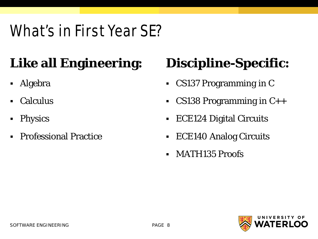## What's in First Year SE?

#### **Like all Engineering:**

- Algebra
- Calculus
- Physics
- Professional Practice

#### **Discipline-Specific:**

- CS137 Programming in C
- CS138 Programming in C++
- ECE124 Digital Circuits
- ECE140 Analog Circuits
- MATH135 Proofs

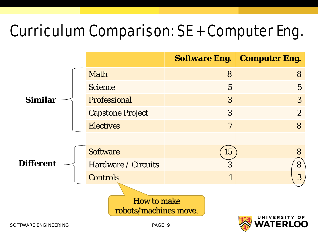## Curriculum Comparison: SE + Computer Eng.

|                  |                                             |                | <b>Software Eng.   Computer Eng.</b> |  |
|------------------|---------------------------------------------|----------------|--------------------------------------|--|
|                  | <b>Math</b>                                 | 8              | 8                                    |  |
|                  | <b>Science</b>                              | $\overline{5}$ | $\overline{5}$                       |  |
| <b>Similar</b>   | Professional                                | 3              | 3                                    |  |
|                  | <b>Capstone Project</b>                     | 3              | $\overline{2}$                       |  |
|                  | <b>Electives</b>                            | $\overline{7}$ | 8                                    |  |
|                  |                                             |                |                                      |  |
|                  | <b>Software</b>                             | 15             | 8                                    |  |
| <b>Different</b> | Hardware / Circuits                         | 3              | 8                                    |  |
|                  | <b>Controls</b>                             | 1              | 3                                    |  |
|                  | <b>How to make</b><br>robots/machines move. |                | UNIVERSITY OF<br><b>N-3 / X-37</b>   |  |

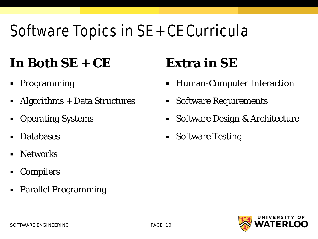## Software Topics in SE + CE Curricula

#### **In Both SE + CE**

- Programming
- Algorithms + Data Structures
- Operating Systems
- **Databases**
- **Networks**
- **Compilers**
- Parallel Programming

#### **Extra in SE**

- Human-Computer Interaction
- Software Requirements
- **Software Design & Architecture**
- Software Testing

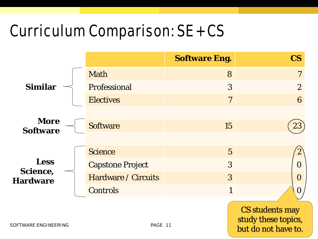### Curriculum Comparison: SE + CS

|                                |                            | <b>Software Eng.</b> | <b>CS</b>         |
|--------------------------------|----------------------------|----------------------|-------------------|
|                                | <b>Math</b>                | 8                    | 7                 |
| <b>Similar</b>                 | Professional               | 3                    | $\mathbf{2}$      |
|                                | <b>Electives</b>           | $\overline{7}$       | 6                 |
|                                |                            |                      |                   |
| <b>More</b><br><b>Software</b> | <b>Software</b>            | 15                   | 23                |
|                                |                            |                      |                   |
|                                | <b>Science</b>             | $\overline{5}$       | $2^{\circ}$       |
| <b>Less</b>                    | <b>Capstone Project</b>    | 3                    | $\mathbf{\Omega}$ |
| Science,<br><b>Hardware</b>    | <b>Hardware / Circuits</b> | 3                    | $\Omega$          |
|                                | <b>Controls</b>            |                      | 0                 |
|                                |                            |                      |                   |

CS students may study these topics, but do not have to.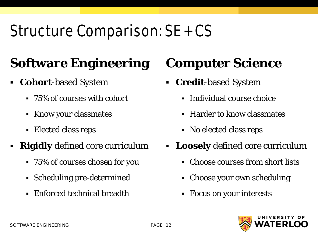### Structure Comparison: SE + CS

#### **Software Engineering**

- **Cohort**-based System
	- 75% of courses with cohort
	- Know your classmates
	- Elected class reps
- **Rigidly** defined core curriculum
	- 75% of courses chosen for you
	- Scheduling pre-determined
	- Enforced technical breadth

#### **Computer Science**

- **Credit**-based System
	- Individual course choice
	- Harder to know classmates
	- No elected class reps
- **Loosely** defined core curriculum
	- Choose courses from short lists
	- Choose your own scheduling
	- Focus on your interests

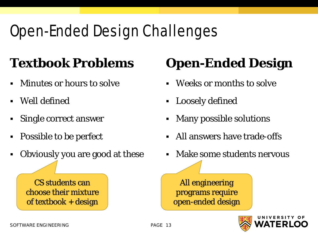## Open-Ended Design Challenges

#### **Textbook Problems**

- Minutes or hours to solve
- Well defined
- Single correct answer
- Possible to be perfect
- Obviously you are good at these

CS students can choose their mixture of textbook + design

#### **Open-Ended Design**

- Weeks or months to solve
- Loosely defined
- Many possible solutions
- All answers have trade-offs
- Make some students nervous

All engineering programs require open-ended design

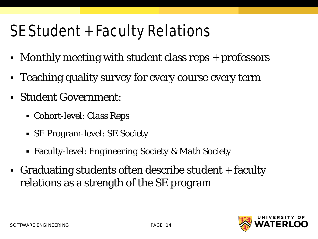## SE Student + Faculty Relations

- Monthly meeting with student class reps + professors
- Teaching quality survey for every course every term
- Student Government:
	- Cohort-level: *Class Reps*
	- SE Program-level: *SE Society*
	- Faculty-level: *Engineering Society & Math Society*
- Graduating students often describe student + faculty relations as a strength of the SE program

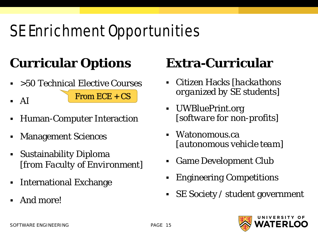## SE Enrichment Opportunities

#### **Curricular Options**

- >50 Technical Elective Courses From ECE + CS
- AI
- Human-Computer Interaction
- Management Sciences
- Sustainability Diploma [*from Faculty of Environment*]
- International Exchange
- And more!

#### **Extra-Curricular**

- Citizen Hacks [*hackathons organized by SE students*]
- UWBluePrint.org [*software for non-profits*]
- Watonomous.ca [*autonomous vehicle team*]
- Game Development Club
- Engineering Competitions
- SE Society / student government

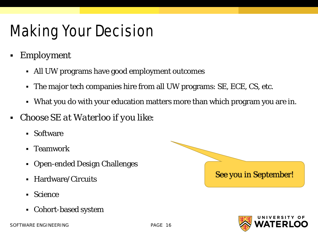## Making Your Decision

- *Employment*
	- All UW programs have good employment outcomes
	- The major tech companies hire from all UW programs: SE, ECE, CS, etc.
	- What you do with your education matters more than which program you are in.
- *Choose SE at Waterloo if you like:*
	- Software
	- Teamwork
	- Open-ended Design Challenges
	- Hardware/Circuits
	- Science
	- Cohort-based system





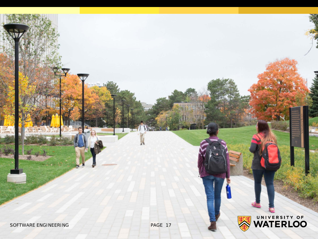

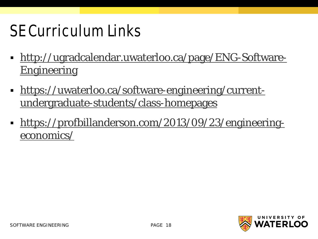## SE Curriculum Links

- [http://ugradcalendar.uwaterloo.ca/page/ENG-Software-](http://ugradcalendar.uwaterloo.ca/page/ENG-Software-Engineering)**Engineering**
- [https://uwaterloo.ca/software-engineering/current](https://uwaterloo.ca/software-engineering/current-undergraduate-students/class-homepages)undergraduate-students/class-homepages
- [https://profbillanderson.com/2013/09/23/engineering](https://profbillanderson.com/2013/09/23/engineering-economics/)economics/

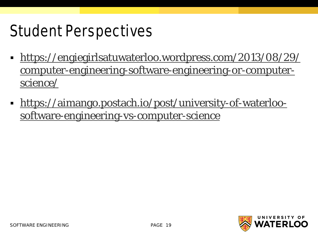## Student Perspectives

- [https://engiegirlsatuwaterloo.wordpress.com/2013/08/29/](https://engiegirlsatuwaterloo.wordpress.com/2013/08/29/computer-engineering-software-engineering-or-computer-science/) computer-engineering-software-engineering-or-computerscience/
- [https://aimango.postach.io/post/university-of-waterloo](https://aimango.postach.io/post/university-of-waterloo-software-engineering-vs-computer-science)software-engineering-vs-computer-science